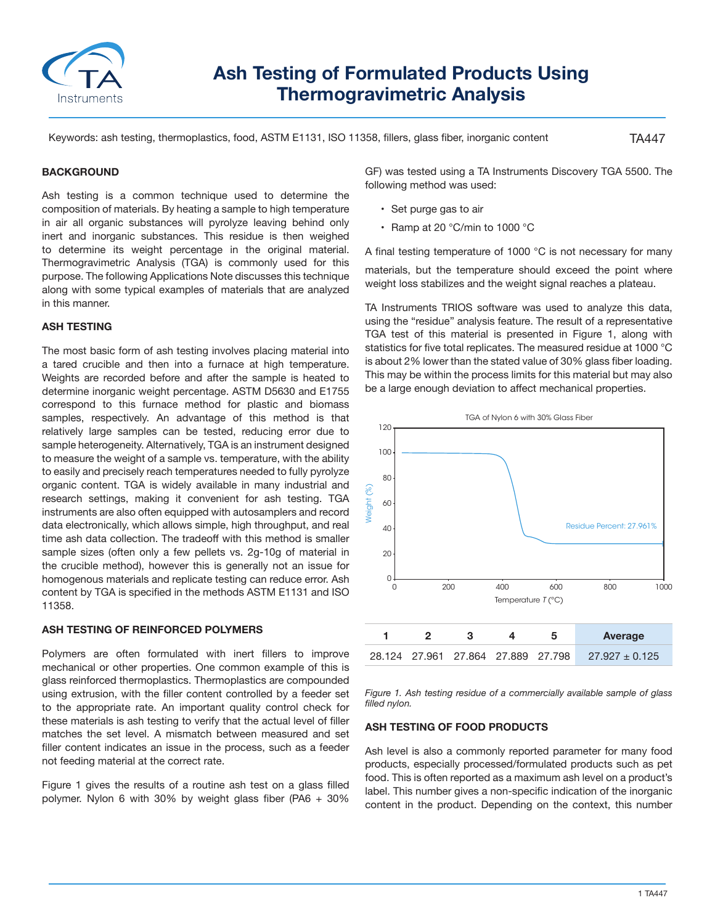

# **Ash Testing of Formulated Products Using Thermogravimetric Analysis**

Keywords: ash testing, thermoplastics, food, ASTM E1131, ISO 11358, fillers, glass fiber, inorganic content

TA447

## **BACKGROUND**

Ash testing is a common technique used to determine the composition of materials. By heating a sample to high temperature in air all organic substances will pyrolyze leaving behind only inert and inorganic substances. This residue is then weighed to determine its weight percentage in the original material. Thermogravimetric Analysis (TGA) is commonly used for this purpose. The following Applications Note discusses this technique along with some typical examples of materials that are analyzed in this manner.

### **ASH TESTING**

The most basic form of ash testing involves placing material into a tared crucible and then into a furnace at high temperature. Weights are recorded before and after the sample is heated to determine inorganic weight percentage. ASTM D5630 and E1755 correspond to this furnace method for plastic and biomass samples, respectively. An advantage of this method is that relatively large samples can be tested, reducing error due to sample heterogeneity. Alternatively, TGA is an instrument designed to measure the weight of a sample vs. temperature, with the ability to easily and precisely reach temperatures needed to fully pyrolyze organic content. TGA is widely available in many industrial and research settings, making it convenient for ash testing. TGA instruments are also often equipped with autosamplers and record data electronically, which allows simple, high throughput, and real time ash data collection. The tradeoff with this method is smaller sample sizes (often only a few pellets vs. 2g-10g of material in the crucible method), however this is generally not an issue for homogenous materials and replicate testing can reduce error. Ash content by TGA is specified in the methods ASTM E1131 and ISO 11358.

## **ASH TESTING OF REINFORCED POLYMERS**

Polymers are often formulated with inert fillers to improve mechanical or other properties. One common example of this is glass reinforced thermoplastics. Thermoplastics are compounded using extrusion, with the filler content controlled by a feeder set to the appropriate rate. An important quality control check for these materials is ash testing to verify that the actual level of filler matches the set level. A mismatch between measured and set filler content indicates an issue in the process, such as a feeder not feeding material at the correct rate.

Figure 1 gives the results of a routine ash test on a glass filled polymer. Nylon 6 with 30% by weight glass fiber (PA6 + 30%

GF) was tested using a TA Instruments Discovery TGA 5500. The following method was used:

- Set purge gas to air
- Ramp at 20 °C/min to 1000 °C

A final testing temperature of 1000 °C is not necessary for many materials, but the temperature should exceed the point where weight loss stabilizes and the weight signal reaches a plateau.

TA Instruments TRIOS software was used to analyze this data, using the "residue" analysis feature. The result of a representative TGA test of this material is presented in Figure 1, along with statistics for five total replicates. The measured residue at 1000 °C is about 2% lower than the stated value of 30% glass fiber loading. This may be within the process limits for this material but may also be a large enough deviation to affect mechanical properties.



*Figure 1. Ash testing residue of a commercially available sample of glass filled nylon.*

#### **ASH TESTING OF FOOD PRODUCTS**

Ash level is also a commonly reported parameter for many food products, especially processed/formulated products such as pet food. This is often reported as a maximum ash level on a product's label. This number gives a non-specific indication of the inorganic content in the product. Depending on the context, this number